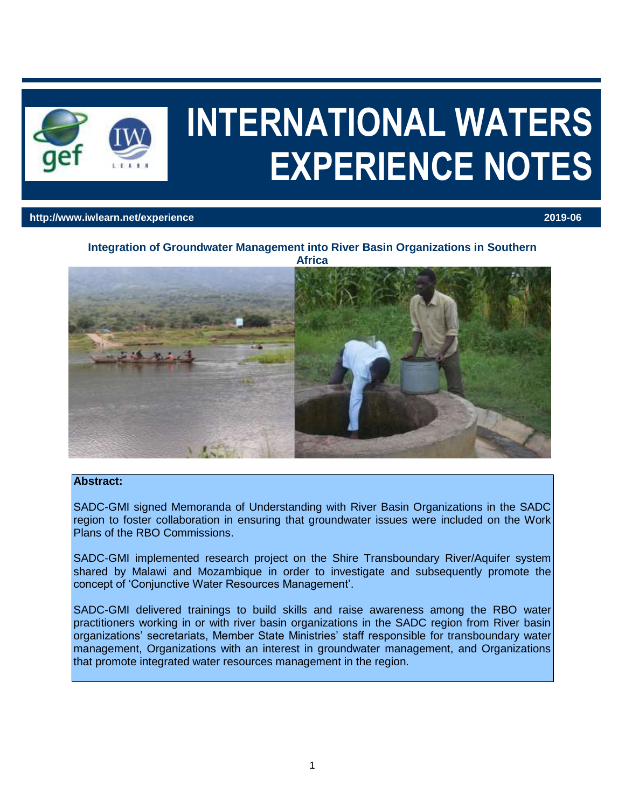

# **INTERNATIONAL WATERS EXPERIENCE NOTES**

#### **http://www.iwlearn.net/experience 2019-06**

# **Integration of Groundwater Management into River Basin Organizations in Southern**



#### **Abstract:**

SADC-GMI signed Memoranda of Understanding with River Basin Organizations in the SADC region to foster collaboration in ensuring that groundwater issues were included on the Work Plans of the RBO Commissions.

SADC-GMI implemented research project on the Shire Transboundary River/Aquifer system shared by Malawi and Mozambique in order to investigate and subsequently promote the concept of 'Conjunctive Water Resources Management'.

SADC-GMI delivered trainings to build skills and raise awareness among the RBO water practitioners working in or with river basin organizations in the SADC region from River basin organizations' secretariats, Member State Ministries' staff responsible for transboundary water management, Organizations with an interest in groundwater management, and Organizations that promote integrated water resources management in the region.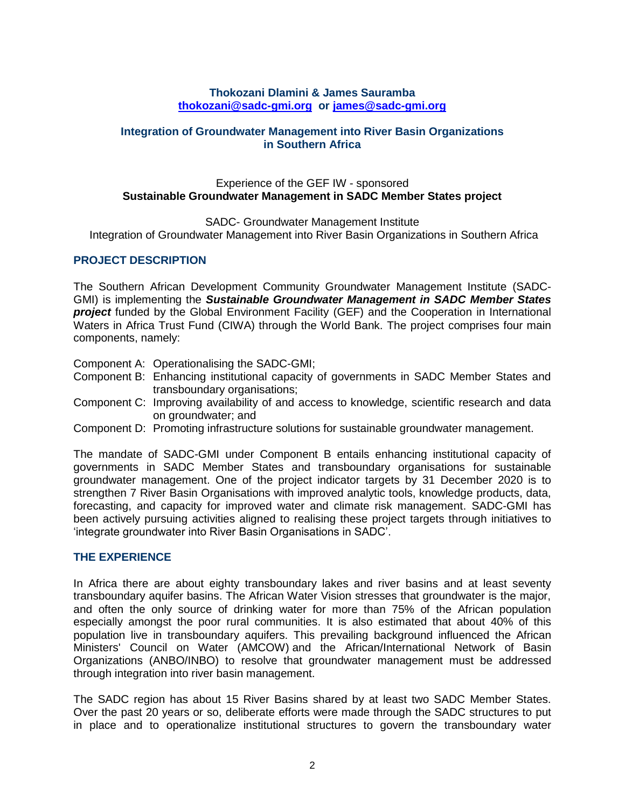## **Thokozani Dlamini & James Sauramba [thokozani@sadc-gmi.org](mailto:thokozani@sadc-gmi.org) or [james@sadc-gmi.org](mailto:james@sadc-gmi.org)**

## **Integration of Groundwater Management into River Basin Organizations in Southern Africa**

## Experience of the GEF IW - sponsored **Sustainable Groundwater Management in SADC Member States project**

SADC- Groundwater Management Institute

Integration of Groundwater Management into River Basin Organizations in Southern Africa

# **PROJECT DESCRIPTION**

The Southern African Development Community Groundwater Management Institute (SADC-GMI) is implementing the *Sustainable Groundwater Management in SADC Member States project* funded by the Global Environment Facility (GEF) and the Cooperation in International Waters in Africa Trust Fund (CIWA) through the World Bank. The project comprises four main components, namely:

Component A: Operationalising the SADC-GMI;

- Component B: Enhancing institutional capacity of governments in SADC Member States and transboundary organisations;
- Component C: Improving availability of and access to knowledge, scientific research and data on groundwater; and
- Component D: Promoting infrastructure solutions for sustainable groundwater management.

The mandate of SADC-GMI under Component B entails enhancing institutional capacity of governments in SADC Member States and transboundary organisations for sustainable groundwater management. One of the project indicator targets by 31 December 2020 is to strengthen 7 River Basin Organisations with improved analytic tools, knowledge products, data, forecasting, and capacity for improved water and climate risk management. SADC-GMI has been actively pursuing activities aligned to realising these project targets through initiatives to 'integrate groundwater into River Basin Organisations in SADC'.

#### **THE EXPERIENCE**

In Africa there are about eighty transboundary lakes and river basins and at least seventy transboundary aquifer basins. The African Water Vision stresses that groundwater is the major, and often the only source of drinking water for more than 75% of the African population especially amongst the poor rural communities. It is also estimated that about 40% of this population live in transboundary aquifers. This prevailing background influenced the African Ministers' Council on Water (AMCOW) and the African/International Network of Basin Organizations (ANBO/INBO) to resolve that groundwater management must be addressed through integration into river basin management.

The SADC region has about 15 River Basins shared by at least two SADC Member States. Over the past 20 years or so, deliberate efforts were made through the SADC structures to put in place and to operationalize institutional structures to govern the transboundary water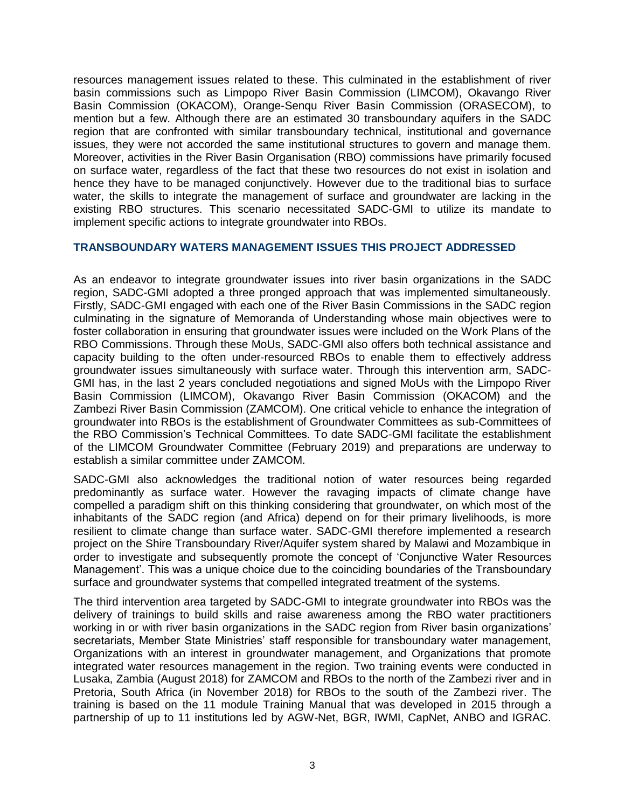resources management issues related to these. This culminated in the establishment of river basin commissions such as Limpopo River Basin Commission (LIMCOM), Okavango River Basin Commission (OKACOM), Orange-Senqu River Basin Commission (ORASECOM), to mention but a few. Although there are an estimated 30 transboundary aquifers in the SADC region that are confronted with similar transboundary technical, institutional and governance issues, they were not accorded the same institutional structures to govern and manage them. Moreover, activities in the River Basin Organisation (RBO) commissions have primarily focused on surface water, regardless of the fact that these two resources do not exist in isolation and hence they have to be managed conjunctively. However due to the traditional bias to surface water, the skills to integrate the management of surface and groundwater are lacking in the existing RBO structures. This scenario necessitated SADC-GMI to utilize its mandate to implement specific actions to integrate groundwater into RBOs.

## **TRANSBOUNDARY WATERS MANAGEMENT ISSUES THIS PROJECT ADDRESSED**

As an endeavor to integrate groundwater issues into river basin organizations in the SADC region, SADC-GMI adopted a three pronged approach that was implemented simultaneously. Firstly, SADC-GMI engaged with each one of the River Basin Commissions in the SADC region culminating in the signature of Memoranda of Understanding whose main objectives were to foster collaboration in ensuring that groundwater issues were included on the Work Plans of the RBO Commissions. Through these MoUs, SADC-GMI also offers both technical assistance and capacity building to the often under-resourced RBOs to enable them to effectively address groundwater issues simultaneously with surface water. Through this intervention arm, SADC-GMI has, in the last 2 years concluded negotiations and signed MoUs with the Limpopo River Basin Commission (LIMCOM), Okavango River Basin Commission (OKACOM) and the Zambezi River Basin Commission (ZAMCOM). One critical vehicle to enhance the integration of groundwater into RBOs is the establishment of Groundwater Committees as sub-Committees of the RBO Commission's Technical Committees. To date SADC-GMI facilitate the establishment of the LIMCOM Groundwater Committee (February 2019) and preparations are underway to establish a similar committee under ZAMCOM.

SADC-GMI also acknowledges the traditional notion of water resources being regarded predominantly as surface water. However the ravaging impacts of climate change have compelled a paradigm shift on this thinking considering that groundwater, on which most of the inhabitants of the SADC region (and Africa) depend on for their primary livelihoods, is more resilient to climate change than surface water. SADC-GMI therefore implemented a research project on the Shire Transboundary River/Aquifer system shared by Malawi and Mozambique in order to investigate and subsequently promote the concept of 'Conjunctive Water Resources Management'. This was a unique choice due to the coinciding boundaries of the Transboundary surface and groundwater systems that compelled integrated treatment of the systems.

The third intervention area targeted by SADC-GMI to integrate groundwater into RBOs was the delivery of trainings to build skills and raise awareness among the RBO water practitioners working in or with river basin organizations in the SADC region from River basin organizations' secretariats, Member State Ministries' staff responsible for transboundary water management, Organizations with an interest in groundwater management, and Organizations that promote integrated water resources management in the region. Two training events were conducted in Lusaka, Zambia (August 2018) for ZAMCOM and RBOs to the north of the Zambezi river and in Pretoria, South Africa (in November 2018) for RBOs to the south of the Zambezi river. The training is based on the 11 module Training Manual that was developed in 2015 through a partnership of up to 11 institutions led by AGW-Net, BGR, IWMI, CapNet, ANBO and IGRAC.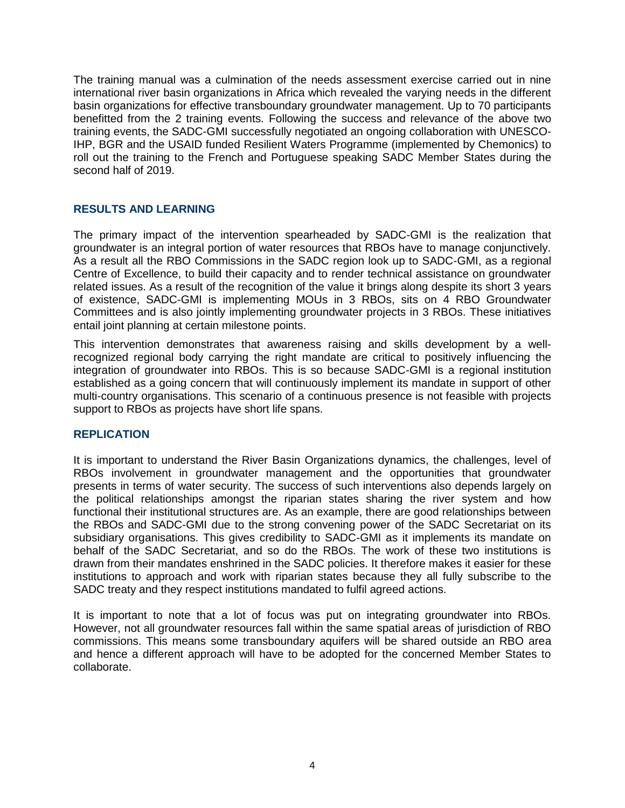The training manual was a culmination of the needs assessment exercise carried out in nine international river basin organizations in Africa which revealed the varying needs in the different basin organizations for effective transboundary groundwater management. Up to 70 participants benefitted from the 2 training events. Following the success and relevance of the above two training events, the SADC-GMI successfully negotiated an ongoing collaboration with UNESCO-IHP, BGR and the USAID funded Resilient Waters Programme (implemented by Chemonics) to roll out the training to the French and Portuguese speaking SADC Member States during the second half of 2019.

# **RESULTS AND LEARNING**

The primary impact of the intervention spearheaded by SADC-GMI is the realization that groundwater is an integral portion of water resources that RBOs have to manage conjunctively. As a result all the RBO Commissions in the SADC region look up to SADC-GMI, as a regional Centre of Excellence, to build their capacity and to render technical assistance on groundwater related issues. As a result of the recognition of the value it brings along despite its short 3 years of existence, SADC-GMI is implementing MOUs in 3 RBOs, sits on 4 RBO Groundwater Committees and is also jointly implementing groundwater projects in 3 RBOs. These initiatives entail joint planning at certain milestone points.

This intervention demonstrates that awareness raising and skills development by a wellrecognized regional body carrying the right mandate are critical to positively influencing the integration of groundwater into RBOs. This is so because SADC-GMI is a regional institution established as a going concern that will continuously implement its mandate in support of other multi-country organisations. This scenario of a continuous presence is not feasible with projects support to RBOs as projects have short life spans.

# **REPLICATION**

It is important to understand the River Basin Organizations dynamics, the challenges, level of RBOs involvement in groundwater management and the opportunities that groundwater presents in terms of water security. The success of such interventions also depends largely on the political relationships amongst the riparian states sharing the river system and how functional their institutional structures are. As an example, there are good relationships between the RBOs and SADC-GMI due to the strong convening power of the SADC Secretariat on its subsidiary organisations. This gives credibility to SADC-GMI as it implements its mandate on behalf of the SADC Secretariat, and so do the RBOs. The work of these two institutions is drawn from their mandates enshrined in the SADC policies. It therefore makes it easier for these institutions to approach and work with riparian states because they all fully subscribe to the SADC treaty and they respect institutions mandated to fulfil agreed actions.

It is important to note that a lot of focus was put on integrating groundwater into RBOs. However, not all groundwater resources fall within the same spatial areas of jurisdiction of RBO commissions. This means some transboundary aquifers will be shared outside an RBO area and hence a different approach will have to be adopted for the concerned Member States to collaborate.